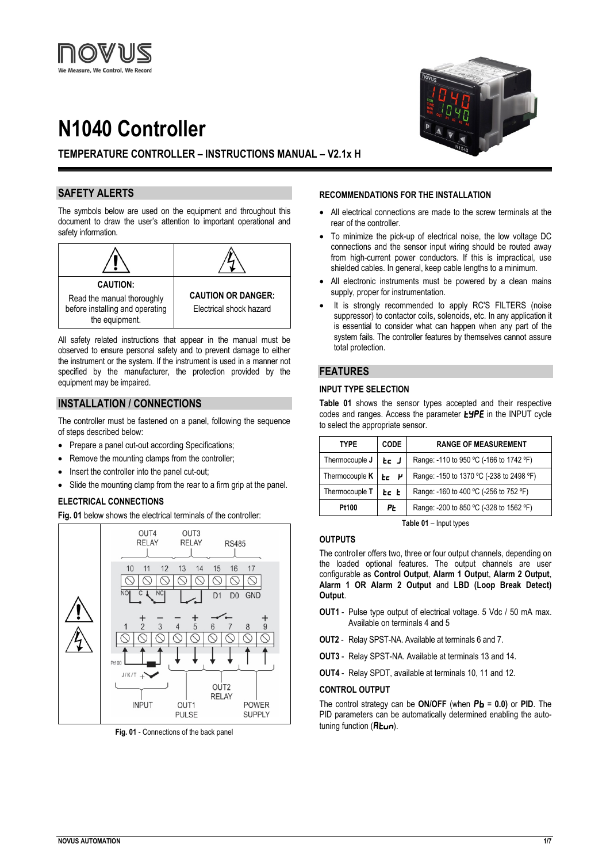# **N1040 Controller**



# **TEMPERATURE CONTROLLER – INSTRUCTIONS MANUAL – V2.1x H**

# **SAFETY ALERTS**

The symbols below are used on the equipment and throughout this document to draw the user's attention to important operational and safety information.



All safety related instructions that appear in the manual must be observed to ensure personal safety and to prevent damage to either the instrument or the system. If the instrument is used in a manner not specified by the manufacturer, the protection provided by the equipment may be impaired.

# **INSTALLATION / CONNECTIONS**

The controller must be fastened on a panel, following the sequence of steps described below:

- Prepare a panel cut-out according Specifications:
- Remove the mounting clamps from the controller;
- Insert the controller into the panel cut-out;
- Slide the mounting clamp from the rear to a firm grip at the panel.

## **ELECTRICAL CONNECTIONS**

**Fig. 01** below shows the electrical terminals of the controller:



**Fig. 01** - Connections of the back panel

#### **RECOMMENDATIONS FOR THE INSTALLATION**

- All electrical connections are made to the screw terminals at the rear of the controller.
- To minimize the pick-up of electrical noise, the low voltage DC connections and the sensor input wiring should be routed away from high-current power conductors. If this is impractical, use shielded cables. In general, keep cable lengths to a minimum.
- All electronic instruments must be powered by a clean mains supply, proper for instrumentation.
- It is strongly recommended to apply RC'S FILTERS (noise suppressor) to contactor coils, solenoids, etc. In any application it is essential to consider what can happen when any part of the system fails. The controller features by themselves cannot assure total protection.

## **FEATURES**

#### **INPUT TYPE SELECTION**

**Table 01** shows the sensor types accepted and their respective codes and ranges. Access the parameter  $E^{\prime}$ PE in the INPUT cycle to select the appropriate sensor.

| <b>TYPE</b>           | CODE | <b>RANGE OF MEASUREMENT</b>              |
|-----------------------|------|------------------------------------------|
| Thermocouple J        | te J | Range: -110 to 950 °C (-166 to 1742 °F)  |
| Thermocouple <b>K</b> | re P | Range: -150 to 1370 °C (-238 to 2498 °F) |
| Thermocouple T        | Ec E | Range: -160 to 400 °C (-256 to 752 °F)   |
| P۳<br><b>Pt100</b>    |      | Range: -200 to 850 °C (-328 to 1562 °F)  |

**Table 01** – Input types

## **OUTPUTS**

The controller offers two, three or four output channels, depending on the loaded optional features. The output channels are user configurable as **Control Output**, **Alarm 1 Outpu**t, **Alarm 2 Output**, **Alarm 1 OR Alarm 2 Output** and **LBD (Loop Break Detect) Output**.

- **OUT1** Pulse type output of electrical voltage. 5 Vdc / 50 mA max. Available on terminals 4 and 5
- **OUT2** Relay SPST-NA. Available at terminals 6 and 7.
- **OUT3** Relay SPST-NA. Available at terminals 13 and 14.
- **OUT4** Relay SPDT, available at terminals 10, 11 and 12.

#### **CONTROL OUTPUT**

The control strategy can be **ON/OFF** (when  $P_b = 0.0$ ) or PID. The PID parameters can be automatically determined enabling the autotuning function  $(HEun)$ .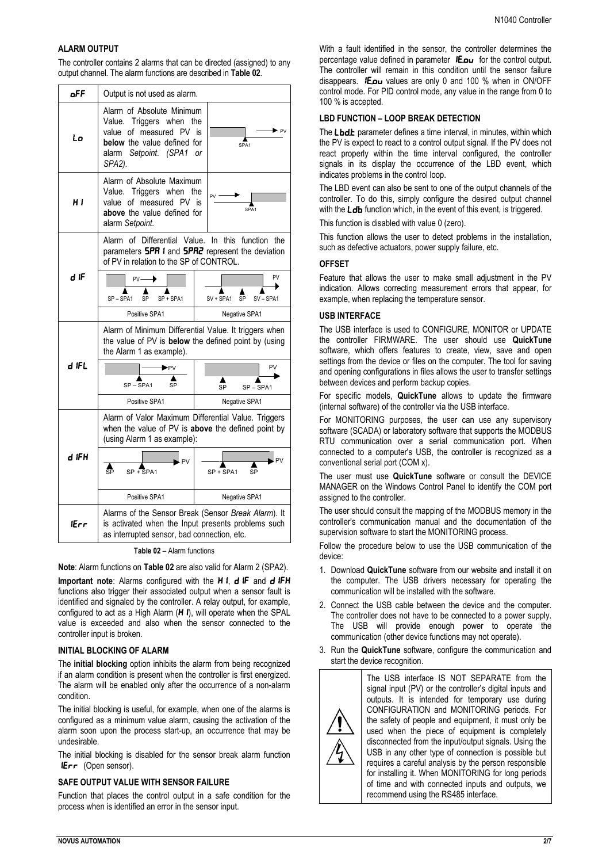## **ALARM OUTPUT**

The controller contains 2 alarms that can be directed (assigned) to any output channel. The alarm functions are described in **Table 02**.

| oFF   | Output is not used as alarm.                                                                                                                                                      |                                  |  |
|-------|-----------------------------------------------------------------------------------------------------------------------------------------------------------------------------------|----------------------------------|--|
| Lo    | Alarm of Absolute Minimum<br>Value. Triggers when<br>the<br>of measured PV is<br>value<br>below the value defined for<br>SPA1<br>alarm Setpoint. (SPA1<br><sub>or</sub><br>SPA2). |                                  |  |
| H I   | Alarm of Absolute Maximum<br>Value. Triggers when<br>the<br>value of measured PV<br>is<br>SPA <sub>1</sub><br>above the value defined for<br>alarm Setpoint.                      |                                  |  |
|       | Alarm of Differential Value. In this function the<br>parameters <b>5PR I</b> and <b>5PR2</b> represent the deviation<br>of PV in relation to the SP of CONTROL.                   |                                  |  |
| d iF  | $PV -$<br>SP-SPA1<br>SP + SPA1<br>SP                                                                                                                                              | PV<br>SV + SPA1<br>SV-SPA1<br>SP |  |
|       | Positive SPA1                                                                                                                                                                     | Negative SPA1                    |  |
|       | Alarm of Minimum Differential Value. It triggers when<br>the value of PV is below the defined point by (using<br>the Alarm 1 as example).                                         |                                  |  |
| d IFL | ▶PV<br>SP-SPA1<br>SP                                                                                                                                                              | PV<br>SP<br>SP-SPA1              |  |
|       | Positive SPA1                                                                                                                                                                     | Negative SPA1                    |  |
|       | Alarm of Valor Maximum Differential Value. Triggers<br>when the value of PV is above the defined point by<br>(using Alarm 1 as example):                                          |                                  |  |
| d IFH | - PV<br>ŝ₽<br>$SP + SPA1$                                                                                                                                                         | . PV<br>SP + SPA1<br>SP          |  |
|       | Positive SPA1                                                                                                                                                                     | Negative SPA1                    |  |
| lErr  | Alarms of the Sensor Break (Sensor Break Alarm). It<br>is activated when the Input presents problems such<br>as interrupted sensor, bad connection, etc.                          |                                  |  |

**Table 02** – Alarm functions

**Note**: Alarm functions on **Table 02** are also valid for Alarm 2 (SPA2).

**Important note:** Alarms configured with the H I, d IF and d IFH functions also trigger their associated output when a sensor fault is identified and signaled by the controller. A relay output, for example, configured to act as a High Alarm  $(H_i)$ , will operate when the SPAL value is exceeded and also when the sensor connected to the controller input is broken.

#### **INITIAL BLOCKING OF ALARM**

The **initial blocking** option inhibits the alarm from being recognized if an alarm condition is present when the controller is first energized. The alarm will be enabled only after the occurrence of a non-alarm condition.

The initial blocking is useful, for example, when one of the alarms is configured as a minimum value alarm, causing the activation of the alarm soon upon the process start-up, an occurrence that may be undesirable.

The initial blocking is disabled for the sensor break alarm function  $I\!\!E$ rr (Open sensor).

## **SAFE OUTPUT VALUE WITH SENSOR FAILURE**

Function that places the control output in a safe condition for the process when is identified an error in the sensor input.

With a fault identified in the sensor, the controller determines the percentage value defined in parameter IE.ou for the control output. The controller will remain in this condition until the sensor failure disappears.  $I\bar{E}$ ,  $I\omega$  values are only 0 and 100 % when in ON/OFF control mode. For PID control mode, any value in the range from 0 to 100 % is accepted.

#### **LBD FUNCTION – LOOP BREAK DETECTION**

The Lbd barameter defines a time interval, in minutes, within which the PV is expect to react to a control output signal. If the PV does not react properly within the time interval configured, the controller signals in its display the occurrence of the LBD event, which indicates problems in the control loop.

The LBD event can also be sent to one of the output channels of the controller. To do this, simply configure the desired output channel with the  $L$ db function which, in the event of this event, is triggered.

This function is disabled with value 0 (zero).

This function allows the user to detect problems in the installation, such as defective actuators, power supply failure, etc.

#### **OFFSET**

Feature that allows the user to make small adjustment in the PV indication. Allows correcting measurement errors that appear, for example, when replacing the temperature sensor.

#### **USB INTERFACE**

The USB interface is used to CONFIGURE, MONITOR or UPDATE the controller FIRMWARE. The user should use **QuickTune** software, which offers features to create, view, save and open settings from the device or files on the computer. The tool for saving and opening configurations in files allows the user to transfer settings between devices and perform backup copies.

For specific models, **QuickTune** allows to update the firmware (internal software) of the controller via the USB interface.

For MONITORING purposes, the user can use any supervisory software (SCADA) or laboratory software that supports the MODBUS RTU communication over a serial communication port. When connected to a computer's USB, the controller is recognized as a conventional serial port (COM x).

The user must use **QuickTune** software or consult the DEVICE MANAGER on the Windows Control Panel to identify the COM port assigned to the controller.

The user should consult the mapping of the MODBUS memory in the controller's communication manual and the documentation of the supervision software to start the MONITORING process.

Follow the procedure below to use the USB communication of the device:

- 1. Download **QuickTune** software from our website and install it on the computer. The USB drivers necessary for operating the communication will be installed with the software.
- 2. Connect the USB cable between the device and the computer. The controller does not have to be connected to a power supply. The USB will provide enough power to operate the communication (other device functions may not operate).
- 3. Run the **QuickTune** software, configure the communication and start the device recognition.

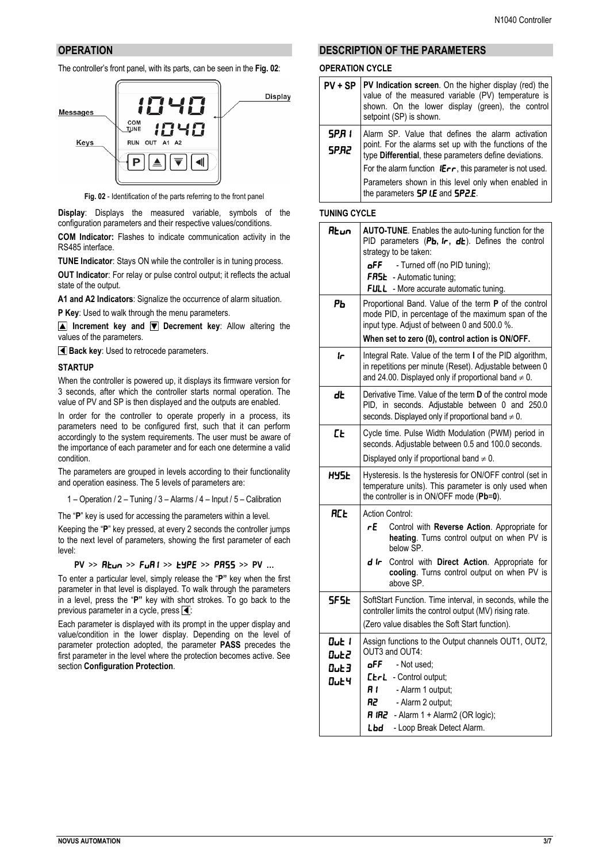# **OPERATION**

The controller's front panel, with its parts, can be seen in the **Fig. 02**:



**Fig. 02** - Identification of the parts referring to the front panel

**Display**: Displays the measured variable, symbols of the configuration parameters and their respective values/conditions. **COM Indicator:** Flashes to indicate communication activity in the RS485 interface.

**TUNE Indicator**: Stays ON while the controller is in tuning process.

**OUT Indicator**: For relay or pulse control output; it reflects the actual state of the output.

**A1 and A2 Indicators**: Signalize the occurrence of alarm situation.

**P Key**: Used to walk through the menu parameters.

**Increment key and <b>V** Decrement key: Allow altering the values of the parameters.

**Back key:** Used to retrocede parameters.

#### **STARTUP**

When the controller is powered up, it displays its firmware version for 3 seconds, after which the controller starts normal operation. The value of PV and SP is then displayed and the outputs are enabled.

In order for the controller to operate properly in a process, its parameters need to be configured first, such that it can perform accordingly to the system requirements. The user must be aware of the importance of each parameter and for each one determine a valid condition.

The parameters are grouped in levels according to their functionality and operation easiness. The 5 levels of parameters are:

1 – Operation / 2 – Tuning / 3 – Alarms / 4 – Input / 5 – Calibration

The "**P**" key is used for accessing the parameters within a level.

Keeping the "**P**" key pressed, at every 2 seconds the controller jumps to the next level of parameters, showing the first parameter of each level:

**PV** >>  $R$ **Lun** >>  $F \cup R$ **i** >>  $F \cup P$ **E** >>  $P$ **PASS** >> PV ...

To enter a particular level, simply release the "**P"** key when the first parameter in that level is displayed. To walk through the parameters in a level, press the "**P"** key with short strokes. To go back to the previous parameter in a cycle, press  $\overline{\blacktriangleleft}$ :

Each parameter is displayed with its prompt in the upper display and value/condition in the lower display. Depending on the level of parameter protection adopted, the parameter **PASS** precedes the first parameter in the level where the protection becomes active. See section **Configuration Protection**.

# **DESCRIPTION OF THE PARAMETERS**

## **OPERATION CYCLE**

|                      | $PV + SP$   PV Indication screen. On the higher display (red) the<br>value of the measured variable (PV) temperature is<br>shown. On the lower display (green), the control<br>setpoint (SP) is shown. |  |  |
|----------------------|--------------------------------------------------------------------------------------------------------------------------------------------------------------------------------------------------------|--|--|
| SPR I<br><b>SPR2</b> | Alarm SP. Value that defines the alarm activation<br>point. For the alarms set up with the functions of the<br>type Differential, these parameters define deviations.                                  |  |  |
|                      | For the alarm function $I\mathsf{Err}$ , this parameter is not used.                                                                                                                                   |  |  |
|                      | Parameters shown in this level only when enabled in<br>the parameters <b>5P I.E</b> and <b>5P2.E</b> .                                                                                                 |  |  |

## **TUNING CYCLE**

| Rtun                                 | AUTO-TUNE. Enables the auto-tuning function for the<br>PID parameters (Pb, ir, db). Defines the control<br>strategy to be taken:<br>oFF.<br>- Turned off (no PID tuning);<br>FR5E - Automatic tuning;<br>FULL - More accurate automatic tuning.                  |  |  |
|--------------------------------------|------------------------------------------------------------------------------------------------------------------------------------------------------------------------------------------------------------------------------------------------------------------|--|--|
| PЬ                                   | Proportional Band. Value of the term P of the control<br>mode PID, in percentage of the maximum span of the<br>input type. Adjust of between 0 and 500.0 %.<br>When set to zero (0), control action is ON/OFF.                                                   |  |  |
| Ir                                   | Integral Rate. Value of the term I of the PID algorithm,<br>in repetitions per minute (Reset). Adjustable between 0<br>and 24.00. Displayed only if proportional band $\neq$ 0.                                                                                  |  |  |
| dŁ                                   | Derivative Time. Value of the term D of the control mode<br>PID, in seconds. Adjustable between 0 and 250.0<br>seconds. Displayed only if proportional band $\neq 0$ .                                                                                           |  |  |
| <b>EE</b>                            | Cycle time. Pulse Width Modulation (PWM) period in<br>seconds. Adjustable between 0.5 and 100.0 seconds.<br>Displayed only if proportional band $\neq 0$ .                                                                                                       |  |  |
| 845 H                                | Hysteresis. Is the hysteresis for ON/OFF control (set in<br>temperature units). This parameter is only used when<br>the controller is in ON/OFF mode (Pb=0).                                                                                                     |  |  |
| <b>RC<sub>E</sub></b>                | <b>Action Control:</b><br>гE<br>Control with Reverse Action. Appropriate for<br>heating. Turns control output on when PV is<br>below SP.<br>d Ir<br>Control with Direct Action. Appropriate for<br>cooling. Turns control output on when PV is<br>above SP.      |  |  |
| SF SE                                | SoftStart Function. Time interval, in seconds, while the<br>controller limits the control output (MV) rising rate.<br>(Zero value disables the Soft Start function).                                                                                             |  |  |
| Out I<br>Out2<br>Out3<br><b>Out4</b> | Assign functions to the Output channels OUT1, OUT2,<br>OUT3 and OUT4:<br>oFF<br>- Not used:<br>EtrL - Control output;<br>R I<br>- Alarm 1 output;<br>R2<br>- Alarm 2 output;<br><b>R IR2</b> - Alarm 1 + Alarm2 (OR logic);<br>Lbd<br>- Loop Break Detect Alarm. |  |  |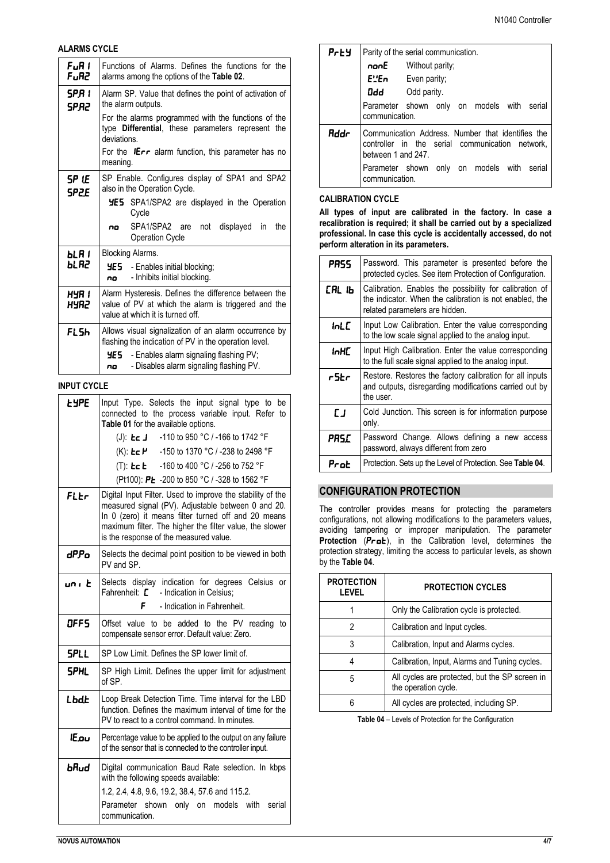## **ALARMS CYCLE**

| FuR I<br>FuR2  | Functions of Alarms. Defines the functions for the<br>alarms among the options of the Table 02.                                                 |  |  |  |  |
|----------------|-------------------------------------------------------------------------------------------------------------------------------------------------|--|--|--|--|
| SPR I<br>SP.R2 | Alarm SP. Value that defines the point of activation of<br>the alarm outputs.                                                                   |  |  |  |  |
|                | For the alarms programmed with the functions of the<br>type Differential, these parameters represent the<br>deviations.                         |  |  |  |  |
|                | For the $1Err$ alarm function, this parameter has no<br>meaning.                                                                                |  |  |  |  |
| SP LE<br>SP2E  | SP Enable. Configures display of SPA1 and SPA2<br>also in the Operation Cycle.<br><b>HES</b> SPA1/SPA2 are displayed in the Operation           |  |  |  |  |
|                | Cycle                                                                                                                                           |  |  |  |  |
|                | SPA1/SPA2 are<br>not<br>displayed<br>in<br>the<br>no<br><b>Operation Cycle</b>                                                                  |  |  |  |  |
| Ы. Я 1         | Blocking Alarms.                                                                                                                                |  |  |  |  |
| <b>PT 19</b>   | <b>HE5</b> - Enables initial blocking;<br>- Inhibits initial blocking.<br>no                                                                    |  |  |  |  |
| HYA 1<br>69.HY | Alarm Hysteresis. Defines the difference between the<br>value of PV at which the alarm is triggered and the<br>value at which it is turned off. |  |  |  |  |
| FL 5h          | Allows visual signalization of an alarm occurrence by<br>flashing the indication of PV in the operation level.                                  |  |  |  |  |
|                | YE 5.<br>- Enables alarm signaling flashing PV;<br>- Disables alarm signaling flashing PV.<br>no                                                |  |  |  |  |

# **INPUT CYCLE**

| <b>LYPE</b>  | Input Type. Selects the input signal type to<br>be<br>connected to the process variable input. Refer to<br>Table 01 for the available options.                                                                                                                               |  |  |  |  |  |
|--------------|------------------------------------------------------------------------------------------------------------------------------------------------------------------------------------------------------------------------------------------------------------------------------|--|--|--|--|--|
|              | (J): <b>Le J</b> -110 to 950 °C / -166 to 1742 °F                                                                                                                                                                                                                            |  |  |  |  |  |
|              | (K): <b>Ec P</b> -150 to 1370 °C / -238 to 2498 °F                                                                                                                                                                                                                           |  |  |  |  |  |
|              | (T): <b>Lc L</b> -160 to 400 °C / -256 to 752 °F                                                                                                                                                                                                                             |  |  |  |  |  |
|              | (Pt100): PŁ -200 to 850 °C / -328 to 1562 °F                                                                                                                                                                                                                                 |  |  |  |  |  |
| FLEr         | Digital Input Filter. Used to improve the stability of the<br>measured signal (PV). Adjustable between 0 and 20.<br>In 0 (zero) it means filter turned off and 20 means<br>maximum filter. The higher the filter value, the slower<br>is the response of the measured value. |  |  |  |  |  |
| dPPo         | Selects the decimal point position to be viewed in both<br>PV and SP.                                                                                                                                                                                                        |  |  |  |  |  |
| un i E       | Selects display indication for degrees Celsius or<br>Fahrenheit: $\boldsymbol{L}$ - Indication in Celsius:                                                                                                                                                                   |  |  |  |  |  |
|              | F<br>- Indication in Fahrenheit.                                                                                                                                                                                                                                             |  |  |  |  |  |
| DFF5         | Offset value to be added to the PV reading to<br>compensate sensor error. Default value: Zero.                                                                                                                                                                               |  |  |  |  |  |
| <b>SPLL</b>  | SP Low Limit. Defines the SP lower limit of.                                                                                                                                                                                                                                 |  |  |  |  |  |
| <b>SPHL</b>  | SP High Limit. Defines the upper limit for adjustment<br>of SP.                                                                                                                                                                                                              |  |  |  |  |  |
| Lbdb         | Loop Break Detection Time. Time interval for the LBD<br>function. Defines the maximum interval of time for the<br>PV to react to a control command. In minutes.                                                                                                              |  |  |  |  |  |
| <b>IE.ou</b> | Percentage value to be applied to the output on any failure<br>of the sensor that is connected to the controller input.                                                                                                                                                      |  |  |  |  |  |
| bЯud         | Digital communication Baud Rate selection. In kbps<br>with the following speeds available:<br>1.2, 2.4, 4.8, 9.6, 19.2, 38.4, 57.6 and 115.2.<br>Parameter shown only on models with<br>serial<br>communication.                                                             |  |  |  |  |  |

| Prey | Parity of the serial communication. |                                                                                                      |  |  |  |
|------|-------------------------------------|------------------------------------------------------------------------------------------------------|--|--|--|
|      |                                     | nonE Without parity;                                                                                 |  |  |  |
|      |                                     | $E!E \cap$ Even parity;                                                                              |  |  |  |
|      |                                     | <b>Ddd</b> Odd parity.                                                                               |  |  |  |
|      | communication.                      | Parameter shown only on models with serial                                                           |  |  |  |
| Rddr | between 1 and 247.                  | Communication Address. Number that identifies the<br>controller in the serial communication network, |  |  |  |
|      | communication.                      | Parameter shown only on models with serial                                                           |  |  |  |

## **CALIBRATION CYCLE**

**All types of input are calibrated in the factory. In case a recalibration is required; it shall be carried out by a specialized professional. In case this cycle is accidentally accessed, do not perform alteration in its parameters.**

| PRSS  | Password. This parameter is presented before the<br>protected cycles. See item Protection of Configuration.                                          |  |  |
|-------|------------------------------------------------------------------------------------------------------------------------------------------------------|--|--|
| СRL Њ | Calibration. Enables the possibility for calibration of<br>the indicator. When the calibration is not enabled, the<br>related parameters are hidden. |  |  |
| InLE  | Input Low Calibration. Enter the value corresponding<br>to the low scale signal applied to the analog input.                                         |  |  |
| inHC  | Input High Calibration. Enter the value corresponding<br>to the full scale signal applied to the analog input.                                       |  |  |
| r5Er  | Restore. Restores the factory calibration for all inputs<br>and outputs, disregarding modifications carried out by<br>the user.                      |  |  |
| EТ    | Cold Junction. This screen is for information purpose<br>only.                                                                                       |  |  |
| PRSC  | Password Change. Allows defining a new access<br>password, always different from zero                                                                |  |  |
| Prot  | Protection. Sets up the Level of Protection. See Table 04.                                                                                           |  |  |

# **CONFIGURATION PROTECTION**

The controller provides means for protecting the parameters configurations, not allowing modifications to the parameters values, avoiding tampering or improper manipulation. The parameter Protection (Prot), in the Calibration level, determines the protection strategy, limiting the access to particular levels, as shown by the **Table 04**.

| <b>PROTECTION</b><br><b>LEVEL</b>                                           | <b>PROTECTION CYCLES</b>                      |  |  |
|-----------------------------------------------------------------------------|-----------------------------------------------|--|--|
|                                                                             | Only the Calibration cycle is protected.      |  |  |
| 2                                                                           | Calibration and Input cycles.                 |  |  |
| 3                                                                           | Calibration, Input and Alarms cycles.         |  |  |
|                                                                             | Calibration, Input, Alarms and Tuning cycles. |  |  |
| All cycles are protected, but the SP screen in<br>5<br>the operation cycle. |                                               |  |  |
|                                                                             | All cycles are protected, including SP.       |  |  |

**Table 04** – Levels of Protection for the Configuration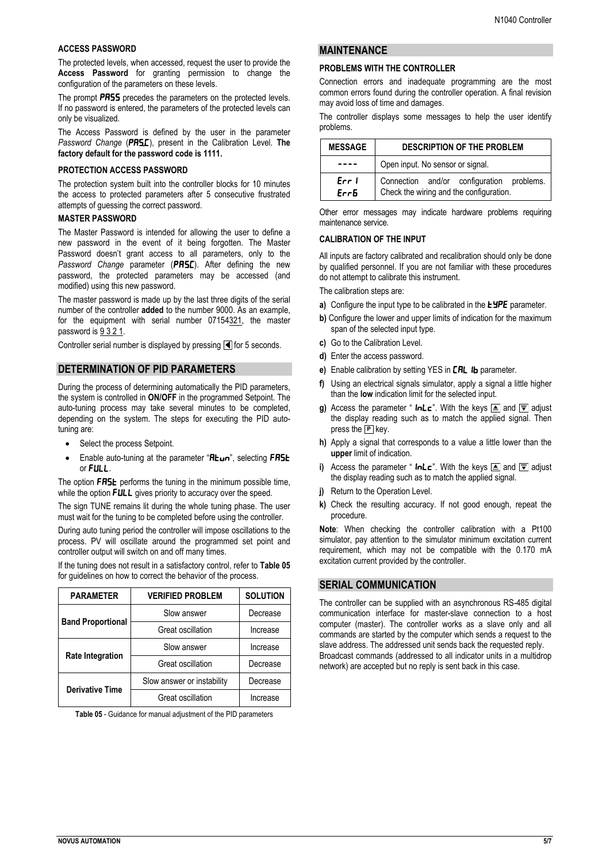#### **ACCESS PASSWORD**

The protected levels, when accessed, request the user to provide the **Access Password** for granting permission to change the configuration of the parameters on these levels.

The prompt **PR55** precedes the parameters on the protected levels. If no password is entered, the parameters of the protected levels can only be visualized.

The Access Password is defined by the user in the parameter *Password Change* (PRSE), present in the Calibration Level. The **factory default for the password code is 1111.**

#### **PROTECTION ACCESS PASSWORD**

The protection system built into the controller blocks for 10 minutes the access to protected parameters after 5 consecutive frustrated attempts of guessing the correct password.

## **MASTER PASSWORD**

The Master Password is intended for allowing the user to define a new password in the event of it being forgotten. The Master Password doesn't grant access to all parameters, only to the Password Change parameter (PR5C). After defining the new password, the protected parameters may be accessed (and modified) using this new password.

The master password is made up by the last three digits of the serial number of the controller **added** to the number 9000. As an example, for the equipment with serial number 07154321, the master password is 9 3 2 1.

Controller serial number is displayed by pressing  $\blacksquare$  for 5 seconds.

#### **DETERMINATION OF PID PARAMETERS**

During the process of determining automatically the PID parameters, the system is controlled in **ON/OFF** in the programmed Setpoint. The auto-tuning process may take several minutes to be completed, depending on the system. The steps for executing the PID autotuning are:

- Select the process Setpoint.
- Enable auto-tuning at the parameter " $R$ Lun", selecting FR5L or FULL.

The option FR5L performs the tuning in the minimum possible time, while the option **FULL** gives priority to accuracy over the speed.

The sign TUNE remains lit during the whole tuning phase. The user must wait for the tuning to be completed before using the controller.

During auto tuning period the controller will impose oscillations to the process. PV will oscillate around the programmed set point and controller output will switch on and off many times.

If the tuning does not result in a satisfactory control, refer to **Table 05** for guidelines on how to correct the behavior of the process.

| <b>PARAMETER</b>         | <b>VERIFIED PROBLEM</b>    | <b>SOLUTION</b> |
|--------------------------|----------------------------|-----------------|
| <b>Band Proportional</b> | Slow answer                | Decrease        |
|                          | Great oscillation          | Increase        |
|                          | Slow answer                | Increase        |
| <b>Rate Integration</b>  | Great oscillation          | Decrease        |
| <b>Derivative Time</b>   | Slow answer or instability | Decrease        |
|                          | Great oscillation          | Increase        |

**Table 05** - Guidance for manual adjustment of the PID parameters

## **MAINTENANCE**

#### **PROBLEMS WITH THE CONTROLLER**

Connection errors and inadequate programming are the most common errors found during the controller operation. A final revision may avoid loss of time and damages.

The controller displays some messages to help the user identify problems.

| <b>MESSAGE</b> | <b>DESCRIPTION OF THE PROBLEM</b>                                                    |  |  |  |
|----------------|--------------------------------------------------------------------------------------|--|--|--|
|                | Open input. No sensor or signal.                                                     |  |  |  |
| Err I<br>Errb  | Connection and/or configuration problems.<br>Check the wiring and the configuration. |  |  |  |

Other error messages may indicate hardware problems requiring maintenance service.

#### **CALIBRATION OF THE INPUT**

All inputs are factory calibrated and recalibration should only be done by qualified personnel. If you are not familiar with these procedures do not attempt to calibrate this instrument.

The calibration steps are:

- **a)** Configure the input type to be calibrated in the **LYPE** parameter.
- **b)** Configure the lower and upper limits of indication for the maximum span of the selected input type.
- **c)** Go to the Calibration Level.
- **d)** Enter the access password.
- **e)** Enable calibration by setting YES in **CRL 1b** parameter.
- **f)** Using an electrical signals simulator, apply a signal a little higher than the **low** indication limit for the selected input.
- **g)** Access the parameter "  $\mathsf{Inlc}$ ". With the keys  $\triangleq$  and  $\triangledown$  adjust the display reading such as to match the applied signal. Then press the **P** key.
- **h)** Apply a signal that corresponds to a value a little lower than the **upper** limit of indication.
- **i)** Access the parameter " **inLc**". With the keys  $\triangleq$  and  $\overline{\triangledown}$  adjust the display reading such as to match the applied signal.
- *i*) Return to the Operation Level.
- **k)** Check the resulting accuracy. If not good enough, repeat the procedure.

**Note**: When checking the controller calibration with a Pt100 simulator, pay attention to the simulator minimum excitation current requirement, which may not be compatible with the 0.170 mA excitation current provided by the controller.

## **SERIAL COMMUNICATION**

The controller can be supplied with an asynchronous RS-485 digital communication interface for master-slave connection to a host computer (master). The controller works as a slave only and all commands are started by the computer which sends a request to the slave address. The addressed unit sends back the requested reply. Broadcast commands (addressed to all indicator units in a multidrop network) are accepted but no reply is sent back in this case.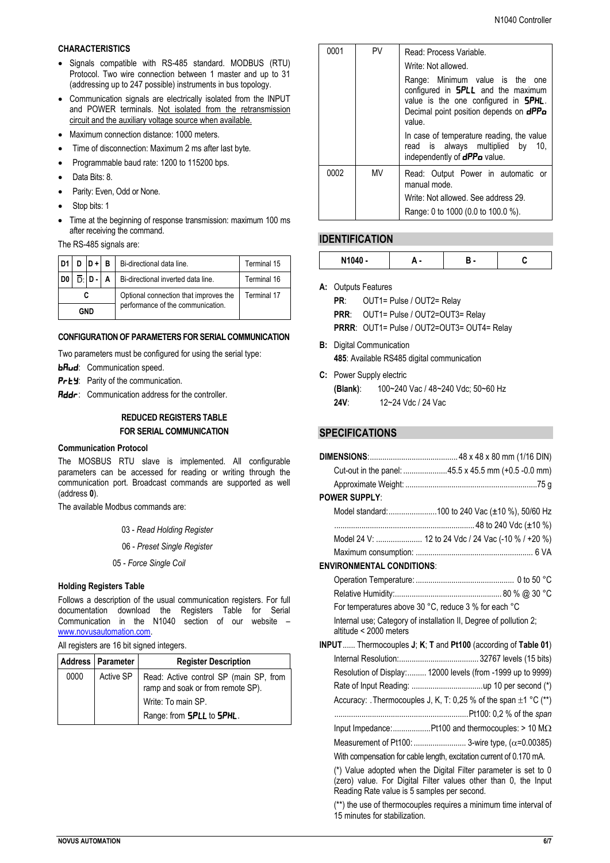#### **CHARACTERISTICS**

- Signals compatible with RS-485 standard. MODBUS (RTU) Protocol. Two wire connection between 1 master and up to 31 (addressing up to 247 possible) instruments in bus topology.
- Communication signals are electrically isolated from the INPUT and POWER terminals. Not isolated from the retransmission circuit and the auxiliary voltage source when available.
- Maximum connection distance: 1000 meters.
- Time of disconnection: Maximum 2 ms after last byte*.*
- Programmable baud rate: 1200 to 115200 bps.
- Data Bits: 8.
- Parity: Even, Odd or None.
- Stop bits: 1
- Time at the beginning of response transmission: maximum 100 ms after receiving the command.

The RS-485 signals are:

| D <sub>1</sub> |  | D ID + I | в                                     | Bi-directional data line.<br>Terminal 15 |             |  |
|----------------|--|----------|---------------------------------------|------------------------------------------|-------------|--|
| D <sub>0</sub> |  | ו - ח    | A                                     | Bi-directional inverted data line.       | Terminal 16 |  |
|                |  |          | Optional connection that improves the | Terminal 17                              |             |  |
| GND            |  |          | performance of the communication.     |                                          |             |  |

#### **CONFIGURATION OF PARAMETERS FOR SERIAL COMMUNICATION**

Two parameters must be configured for using the serial type:

 $b$ *Rud*: Communication speed.

- PrEY: Parity of the communication.
- $\mathsf{Addr}$ : Communication address for the controller.

# **REDUCED REGISTERS TABLE FOR SERIAL COMMUNICATION**

#### **Communication Protocol**

The MOSBUS RTU slave is implemented. All configurable parameters can be accessed for reading or writing through the communication port. Broadcast commands are supported as well (address **0**).

The available Modbus commands are:

- 03 *Read Holding Register*
- 06 *Preset Single Register*
- 05 *Force Single Coil*

#### **Holding Registers Table**

Follows a description of the usual communication registers. For full documentation download the Registers Table for Serial Communication in the N1040 section of our website – [www.novusautomation.com.](http://www.novusautomation.com/)

All registers are 16 bit signed integers.

|      | Address   Parameter | <b>Register Description</b>                                                 |
|------|---------------------|-----------------------------------------------------------------------------|
| 0000 | Active SP           | Read: Active control SP (main SP, from<br>ramp and soak or from remote SP). |
|      |                     | Write: To main SP.                                                          |
|      |                     | Range: from <b>5PLL</b> to <b>5PHL</b> .                                    |

| 0001 | <b>PV</b> | Read: Process Variable.                                                                                                                                                            |
|------|-----------|------------------------------------------------------------------------------------------------------------------------------------------------------------------------------------|
|      |           | Write: Not allowed.                                                                                                                                                                |
|      |           | Range: Minimum value is the one<br>configured in $SPLL$ and the maximum<br>value is the one configured in <b>SPHL</b> .<br>Decimal point position depends on <b>dPPo</b><br>value. |
|      |           | In case of temperature reading, the value<br>read is always multiplied by<br>10.<br>independently of <b>dPPo</b> value.                                                            |
| 0002 | MV        | Read: Output Power in automatic or<br>manual mode.                                                                                                                                 |
|      |           | Write: Not allowed. See address 29.                                                                                                                                                |
|      |           | Range: 0 to 1000 (0.0 to 100.0 %).                                                                                                                                                 |

# **IDENTIFICATION**

| N1040<br>. . |  |  |
|--------------|--|--|

**A:** Outputs Features

**PR**: OUT1= Pulse / OUT2= Relay **PRR**: OUT1= Pulse / OUT2=OUT3= Relay **PRRR**: OUT1= Pulse / OUT2=OUT3= OUT4= Relay

- **B:** Digital Communication
	- **485**: Available RS485 digital communication
- **C:** Power Supply electric **(Blank)**: 100~240 Vac / 48~240 Vdc; 50~60 Hz **24V**: 12~24 Vdc / 24 Vac

# **SPECIFICATIONS**

|                                             | Cut-out in the panel: 45.5 x 45.5 mm (+0.5 -0.0 mm)                                                                                |
|---------------------------------------------|------------------------------------------------------------------------------------------------------------------------------------|
|                                             |                                                                                                                                    |
| <b>POWER SUPPLY:</b>                        |                                                                                                                                    |
|                                             | Model standard:100 to 240 Vac (±10 %), 50/60 Hz                                                                                    |
|                                             |                                                                                                                                    |
|                                             | Model 24 V:  12 to 24 Vdc / 24 Vac (-10 % / +20 %)                                                                                 |
|                                             |                                                                                                                                    |
| <b>ENVIRONMENTAL CONDITIONS:</b>            |                                                                                                                                    |
|                                             |                                                                                                                                    |
|                                             |                                                                                                                                    |
|                                             | For temperatures above 30 °C, reduce 3 % for each °C                                                                               |
| altitude < 2000 meters                      | Internal use; Category of installation II, Degree of pollution 2;                                                                  |
|                                             | INPUT Thermocouples J; K; T and Pt100 (according of Table 01)                                                                      |
|                                             |                                                                                                                                    |
|                                             | Resolution of Display: 12000 levels (from -1999 up to 9999)                                                                        |
|                                             |                                                                                                                                    |
|                                             | Accuracy: . Thermocouples J, K, T: 0,25 % of the span $\pm 1$ °C (**)                                                              |
|                                             |                                                                                                                                    |
|                                             |                                                                                                                                    |
|                                             | Measurement of Pt100:  3-wire type, ( $\alpha$ =0.00385)                                                                           |
|                                             | With compensation for cable length, excitation current of 0.170 mA.                                                                |
| Reading Rate value is 5 samples per second. | (*) Value adopted when the Digital Filter parameter is set to 0<br>(zero) value. For Digital Filter values other than 0, the Input |

(\*\*) the use of thermocouples requires a minimum time interval of 15 minutes for stabilization.